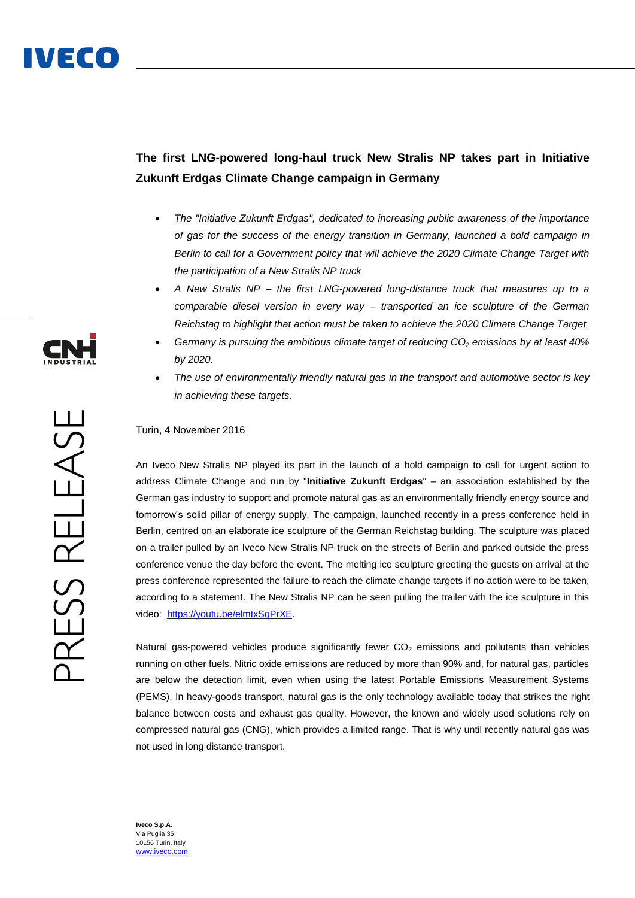## **The first LNG-powered long-haul truck New Stralis NP takes part in Initiative Zukunft Erdgas Climate Change campaign in Germany**

- *The "Initiative Zukunft Erdgas", dedicated to increasing public awareness of the importance of gas for the success of the energy transition in Germany, launched a bold campaign in Berlin to call for a Government policy that will achieve the 2020 Climate Change Target with the participation of a New Stralis NP truck*
- *A New Stralis NP – the first LNG-powered long-distance truck that measures up to a comparable diesel version in every way – transported an ice sculpture of the German Reichstag to highlight that action must be taken to achieve the 2020 Climate Change Target*
- *Germany is pursuing the ambitious climate target of reducing CO<sup>2</sup> emissions by at least 40% by 2020.*
- *The use of environmentally friendly natural gas in the transport and automotive sector is key in achieving these targets.*

## Turin, 4 November 2016

An Iveco New Stralis NP played its part in the launch of a bold campaign to call for urgent action to address Climate Change and run by "**Initiative Zukunft Erdgas**" – an association established by the German gas industry to support and promote natural gas as an environmentally friendly energy source and tomorrow's solid pillar of energy supply. The campaign, launched recently in a press conference held in Berlin, centred on an elaborate ice sculpture of the German Reichstag building. The sculpture was placed on a trailer pulled by an Iveco New Stralis NP truck on the streets of Berlin and parked outside the press conference venue the day before the event. The melting ice sculpture greeting the guests on arrival at the press conference represented the failure to reach the climate change targets if no action were to be taken, according to a statement. The New Stralis NP can be seen pulling the trailer with the ice sculpture in this video: [https://youtu.be/elmtxSqPrXE.](https://youtu.be/elmtxSqPrXE)

Natural gas-powered vehicles produce significantly fewer  $CO<sub>2</sub>$  emissions and pollutants than vehicles running on other fuels. Nitric oxide emissions are reduced by more than 90% and, for natural gas, particles are below the detection limit, even when using the latest Portable Emissions Measurement Systems (PEMS). In heavy-goods transport, natural gas is the only technology available today that strikes the right balance between costs and exhaust gas quality. However, the known and widely used solutions rely on compressed natural gas (CNG), which provides a limited range. That is why until recently natural gas was not used in long distance transport.